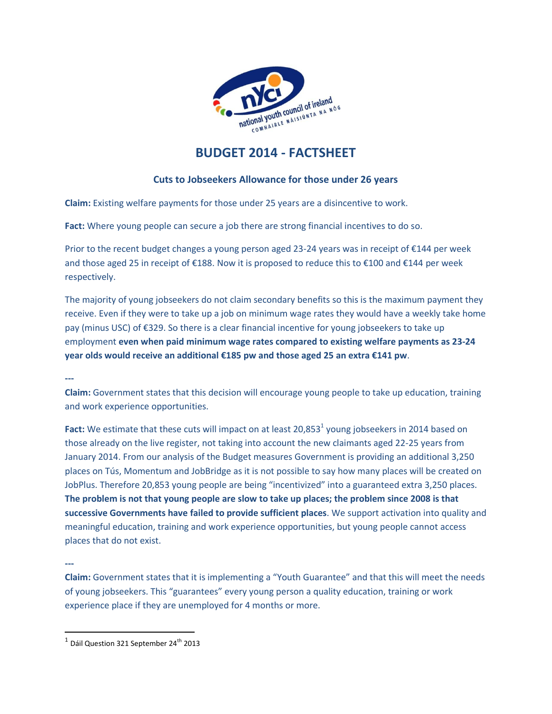

# **BUDGET 2014 - FACTSHEET**

# **Cuts to Jobseekers Allowance for those under 26 years**

**Claim:** Existing welfare payments for those under 25 years are a disincentive to work.

**Fact:** Where young people can secure a job there are strong financial incentives to do so.

Prior to the recent budget changes a young person aged 23-24 years was in receipt of €144 per week and those aged 25 in receipt of €188. Now it is proposed to reduce this to €100 and €144 per week respectively.

The majority of young jobseekers do not claim secondary benefits so this is the maximum payment they receive. Even if they were to take up a job on minimum wage rates they would have a weekly take home pay (minus USC) of €329. So there is a clear financial incentive for young jobseekers to take up employment **even when paid minimum wage rates compared to existing welfare payments as 23-24 year olds would receive an additional €185 pw and those aged 25 an extra €141 pw**.

**---**

**Claim:** Government states that this decision will encourage young people to take up education, training and work experience opportunities.

Fact: We estimate that these cuts will impact on at least 20,853<sup>1</sup> young jobseekers in 2014 based on those already on the live register, not taking into account the new claimants aged 22-25 years from January 2014. From our analysis of the Budget measures Government is providing an additional 3,250 places on Tús, Momentum and JobBridge as it is not possible to say how many places will be created on JobPlus. Therefore 20,853 young people are being "incentivized" into a guaranteed extra 3,250 places. **The problem is not that young people are slow to take up places; the problem since 2008 is that successive Governments have failed to provide sufficient places**. We support activation into quality and meaningful education, training and work experience opportunities, but young people cannot access places that do not exist.

**---**

 $\overline{\phantom{a}}$ 

**Claim:** Government states that it is implementing a "Youth Guarantee" and that this will meet the needs of young jobseekers. This "guarantees" every young person a quality education, training or work experience place if they are unemployed for 4 months or more.

 $^1$  Dáil Question 321 September 24<sup>th</sup> 2013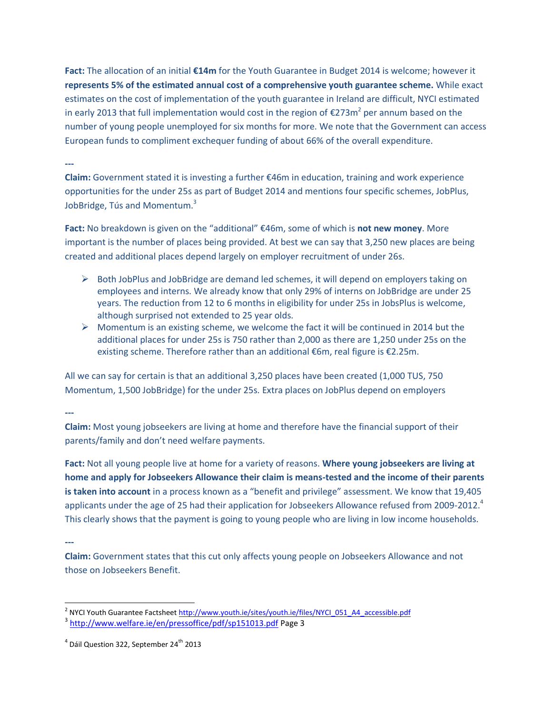**Fact:** The allocation of an initial **€14m** for the Youth Guarantee in Budget 2014 is welcome; however it **represents 5% of the estimated annual cost of a comprehensive youth guarantee scheme.** While exact estimates on the cost of implementation of the youth guarantee in Ireland are difficult, NYCI estimated in early 2013 that full implementation would cost in the region of €273m<sup>2</sup> per annum based on the number of young people unemployed for six months for more. We note that the Government can access European funds to compliment exchequer funding of about 66% of the overall expenditure.

### **---**

**Claim:** Government stated it is investing a further €46m in education, training and work experience opportunities for the under 25s as part of Budget 2014 and mentions four specific schemes, JobPlus, JobBridge, Tús and Momentum.<sup>3</sup>

**Fact:** No breakdown is given on the "additional" €46m, some of which is **not new money**. More important is the number of places being provided. At best we can say that 3,250 new places are being created and additional places depend largely on employer recruitment of under 26s.

- $\triangleright$  Both JobPlus and JobBridge are demand led schemes, it will depend on employers taking on employees and interns. We already know that only 29% of interns on JobBridge are under 25 years. The reduction from 12 to 6 months in eligibility for under 25s in JobsPlus is welcome, although surprised not extended to 25 year olds.
- $\triangleright$  Momentum is an existing scheme, we welcome the fact it will be continued in 2014 but the additional places for under 25s is 750 rather than 2,000 as there are 1,250 under 25s on the existing scheme. Therefore rather than an additional €6m, real figure is €2.25m.

All we can say for certain is that an additional 3,250 places have been created (1,000 TUS, 750 Momentum, 1,500 JobBridge) for the under 25s. Extra places on JobPlus depend on employers

#### **---**

**Claim:** Most young jobseekers are living at home and therefore have the financial support of their parents/family and don't need welfare payments.

**Fact:** Not all young people live at home for a variety of reasons. **Where young jobseekers are living at home and apply for Jobseekers Allowance their claim is means-tested and the income of their parents is taken into account** in a process known as a "benefit and privilege" assessment. We know that 19,405 applicants under the age of 25 had their application for Jobseekers Allowance refused from 2009-2012.<sup>4</sup> This clearly shows that the payment is going to young people who are living in low income households.

### **---**

**Claim:** Government states that this cut only affects young people on Jobseekers Allowance and not those on Jobseekers Benefit.

<sup>2&</sup>lt;br>2 NYCI Youth Guarantee Factshee[t http://www.youth.ie/sites/youth.ie/files/NYCI\\_051\\_A4\\_accessible.pdf](http://www.youth.ie/sites/youth.ie/files/NYCI_051_A4_accessible.pdf)

<sup>&</sup>lt;sup>3</sup> <http://www.welfare.ie/en/pressoffice/pdf/sp151013.pdf></u> Page 3

 $^4$  Dáil Question 322, September 24<sup>th</sup> 2013